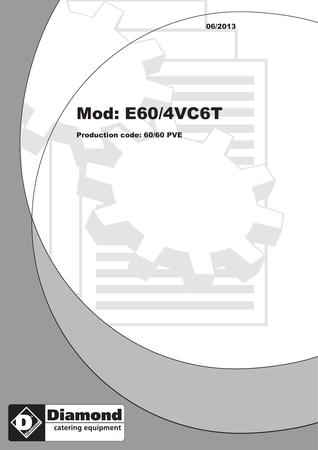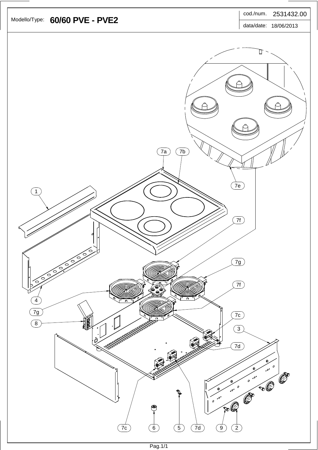